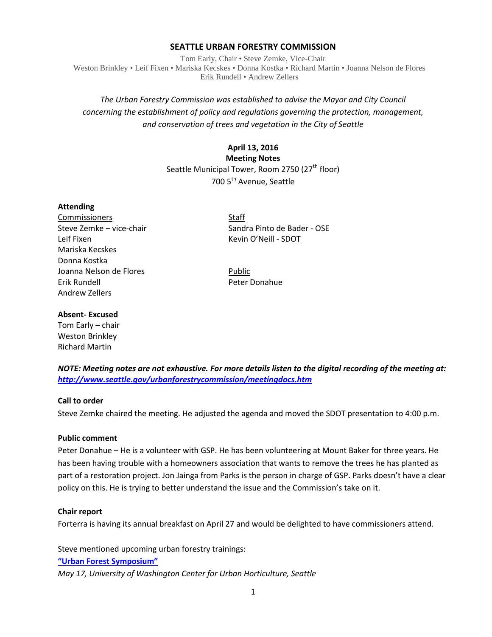#### **SEATTLE URBAN FORESTRY COMMISSION**

Tom Early, Chair • Steve Zemke, Vice-Chair Weston Brinkley • Leif Fixen • Mariska Kecskes • Donna Kostka • Richard Martin • Joanna Nelson de Flores Erik Rundell • Andrew Zellers

# *The Urban Forestry Commission was established to advise the Mayor and City Council concerning the establishment of policy and regulations governing the protection, management, and conservation of trees and vegetation in the City of Seattle*

### **April 13, 2016**

**Meeting Notes** Seattle Municipal Tower, Room 2750 (27<sup>th</sup> floor) 700 5<sup>th</sup> Avenue, Seattle

#### **Attending**

Commissioners Staff Leif Fixen **Kevin O'Neill - SDOT** Mariska Kecskes Donna Kostka Joanna Nelson de Flores **Public** Erik Rundell **Peter Donahue** Andrew Zellers

Steve Zemke – vice-chair Sandra Pinto de Bader - OSE

#### **Absent- Excused**

Tom Early – chair Weston Brinkley Richard Martin

*NOTE: Meeting notes are not exhaustive. For more details listen to the digital recording of the meeting at: <http://www.seattle.gov/urbanforestrycommission/meetingdocs.htm>*

### **Call to order**

Steve Zemke chaired the meeting. He adjusted the agenda and moved the SDOT presentation to 4:00 p.m.

#### **Public comment**

Peter Donahue – He is a volunteer with GSP. He has been volunteering at Mount Baker for three years. He has been having trouble with a homeowners association that wants to remove the trees he has planted as part of a restoration project. Jon Jainga from Parks is the person in charge of GSP. Parks doesn't have a clear policy on this. He is trying to better understand the issue and the Commission's take on it.

### **Chair report**

Forterra is having its annual breakfast on April 27 and would be delighted to have commissioners attend.

Steve mentioned upcoming urban forestry trainings: **["Urban Forest Symposium"](http://depts.washington.edu/uwbg/news/urban-forest/)** *May 17, University of Washington Center for Urban Horticulture, Seattle*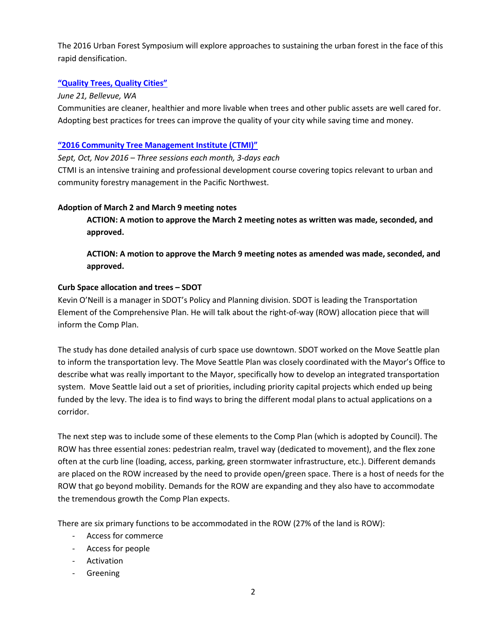The 2016 Urban Forest Symposium will explore approaches to sustaining the urban forest in the face of this rapid densification.

### **["Quality Trees, Quality Cities"](https://dnrtreelink.wordpress.com/2016/02/05/new-seminar-for-2016-quality-trees-quality-cities/?utm_source=DNR+Email+News&utm_campaign=510d593b7c-TreeLink_February_2016&utm_medium=email&utm_term=0_c8cf71d34a-510d593b7c-)**

#### *June 21, Bellevue, WA*

Communities are cleaner, healthier and more livable when trees and other public assets are well cared for. Adopting best practices for trees can improve the quality of your city while saving time and money.

### **["2016 Community Tree Management Institute \(CTMI\)"](https://ctmi-2016.eventbrite.com/)**

*Sept, Oct, Nov 2016 – Three sessions each month, 3-days each*

CTMI is an intensive training and professional development course covering topics relevant to urban and community forestry management in the Pacific Northwest.

### **Adoption of March 2 and March 9 meeting notes**

**ACTION: A motion to approve the March 2 meeting notes as written was made, seconded, and approved.**

**ACTION: A motion to approve the March 9 meeting notes as amended was made, seconded, and approved.**

#### **Curb Space allocation and trees – SDOT**

Kevin O'Neill is a manager in SDOT's Policy and Planning division. SDOT is leading the Transportation Element of the Comprehensive Plan. He will talk about the right-of-way (ROW) allocation piece that will inform the Comp Plan.

The study has done detailed analysis of curb space use downtown. SDOT worked on the Move Seattle plan to inform the transportation levy. The Move Seattle Plan was closely coordinated with the Mayor's Office to describe what was really important to the Mayor, specifically how to develop an integrated transportation system. Move Seattle laid out a set of priorities, including priority capital projects which ended up being funded by the levy. The idea is to find ways to bring the different modal plans to actual applications on a corridor.

The next step was to include some of these elements to the Comp Plan (which is adopted by Council). The ROW has three essential zones: pedestrian realm, travel way (dedicated to movement), and the flex zone often at the curb line (loading, access, parking, green stormwater infrastructure, etc.). Different demands are placed on the ROW increased by the need to provide open/green space. There is a host of needs for the ROW that go beyond mobility. Demands for the ROW are expanding and they also have to accommodate the tremendous growth the Comp Plan expects.

There are six primary functions to be accommodated in the ROW (27% of the land is ROW):

- Access for commerce
- Access for people
- Activation
- Greening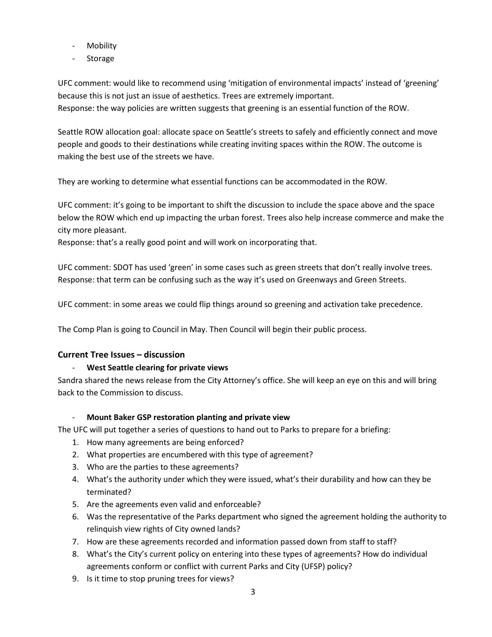- Mobility
- **Storage**

UFC comment: would like to recommend using 'mitigation of environmental impacts' instead of 'greening' because this is not just an issue of aesthetics. Trees are extremely important. Response: the way policies are written suggests that greening is an essential function of the ROW.

Seattle ROW allocation goal: allocate space on Seattle's streets to safely and efficiently connect and move people and goods to their destinations while creating inviting spaces within the ROW. The outcome is making the best use of the streets we have.

They are working to determine what essential functions can be accommodated in the ROW.

UFC comment: it's going to be important to shift the discussion to include the space above and the space below the ROW which end up impacting the urban forest. Trees also help increase commerce and make the city more pleasant.

Response: that's a really good point and will work on incorporating that.

UFC comment: SDOT has used 'green' in some cases such as green streets that don't really involve trees. Response: that term can be confusing such as the way it's used on Greenways and Green Streets.

UFC comment: in some areas we could flip things around so greening and activation take precedence.

The Comp Plan is going to Council in May. Then Council will begin their public process.

## **Current Tree Issues – discussion**

### - **West Seattle clearing for private views**

Sandra shared the news release from the City Attorney's office. She will keep an eye on this and will bring back to the Commission to discuss.

### - **Mount Baker GSP restoration planting and private view**

The UFC will put together a series of questions to hand out to Parks to prepare for a briefing:

- 1. How many agreements are being enforced?
- 2. What properties are encumbered with this type of agreement?
- 3. Who are the parties to these agreements?
- 4. What's the authority under which they were issued, what's their durability and how can they be terminated?
- 5. Are the agreements even valid and enforceable?
- 6. Was the representative of the Parks department who signed the agreement holding the authority to relinquish view rights of City owned lands?
- 7. How are these agreements recorded and information passed down from staff to staff?
- 8. What's the City's current policy on entering into these types of agreements? How do individual agreements conform or conflict with current Parks and City (UFSP) policy?
- 9. Is it time to stop pruning trees for views?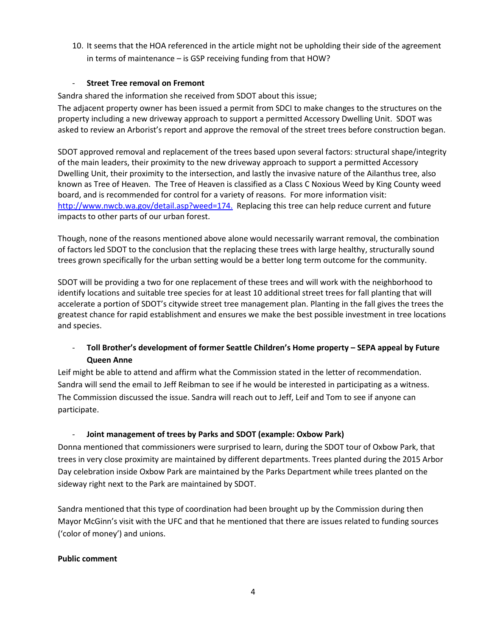10. It seems that the HOA referenced in the article might not be upholding their side of the agreement in terms of maintenance – is GSP receiving funding from that HOW?

## **Street Tree removal on Fremont**

Sandra shared the information she received from SDOT about this issue;

The adjacent property owner has been issued a permit from SDCI to make changes to the structures on the property including a new driveway approach to support a permitted Accessory Dwelling Unit. SDOT was asked to review an Arborist's report and approve the removal of the street trees before construction began.

SDOT approved removal and replacement of the trees based upon several factors: structural shape/integrity of the main leaders, their proximity to the new driveway approach to support a permitted Accessory Dwelling Unit, their proximity to the intersection, and lastly the invasive nature of the Ailanthus tree, also known as Tree of Heaven. The Tree of Heaven is classified as a Class C Noxious Weed by King County weed board, and is recommended for control for a variety of reasons. For more information visit: [http://www.nwcb.wa.gov/detail.asp?weed=174.](http://www.nwcb.wa.gov/detail.asp?weed=174) Replacing this tree can help reduce current and future impacts to other parts of our urban forest.

Though, none of the reasons mentioned above alone would necessarily warrant removal, the combination of factors led SDOT to the conclusion that the replacing these trees with large healthy, structurally sound trees grown specifically for the urban setting would be a better long term outcome for the community.

SDOT will be providing a two for one replacement of these trees and will work with the neighborhood to identify locations and suitable tree species for at least 10 additional street trees for fall planting that will accelerate a portion of SDOT's citywide street tree management plan. Planting in the fall gives the trees the greatest chance for rapid establishment and ensures we make the best possible investment in tree locations and species.

# - **Toll Brother's development of former Seattle Children's Home property – SEPA appeal by Future Queen Anne**

Leif might be able to attend and affirm what the Commission stated in the letter of recommendation. Sandra will send the email to Jeff Reibman to see if he would be interested in participating as a witness. The Commission discussed the issue. Sandra will reach out to Jeff, Leif and Tom to see if anyone can participate.

### - **Joint management of trees by Parks and SDOT (example: Oxbow Park)**

Donna mentioned that commissioners were surprised to learn, during the SDOT tour of Oxbow Park, that trees in very close proximity are maintained by different departments. Trees planted during the 2015 Arbor Day celebration inside Oxbow Park are maintained by the Parks Department while trees planted on the sideway right next to the Park are maintained by SDOT.

Sandra mentioned that this type of coordination had been brought up by the Commission during then Mayor McGinn's visit with the UFC and that he mentioned that there are issues related to funding sources ('color of money') and unions.

### **Public comment**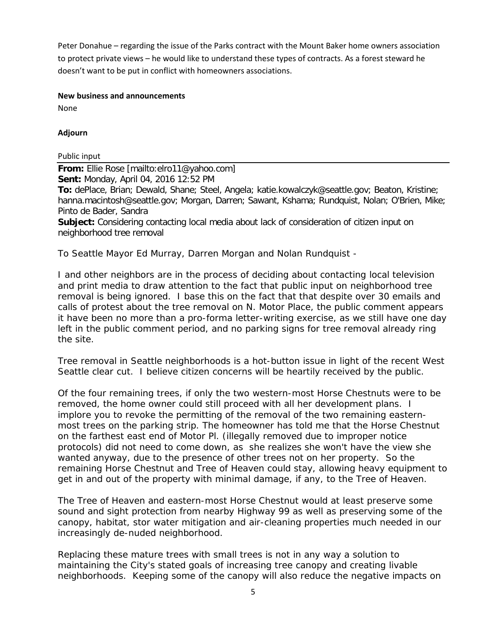Peter Donahue – regarding the issue of the Parks contract with the Mount Baker home owners association to protect private views – he would like to understand these types of contracts. As a forest steward he doesn't want to be put in conflict with homeowners associations.

### **New business and announcements**

None

## **Adjourn**

Public input

**From:** Ellie Rose [mailto:elro11@yahoo.com] **Sent:** Monday, April 04, 2016 12:52 PM **To:** dePlace, Brian; Dewald, Shane; Steel, Angela; katie.kowalczyk@seattle.gov; Beaton, Kristine; hanna.macintosh@seattle.gov; Morgan, Darren; Sawant, Kshama; Rundquist, Nolan; O'Brien, Mike; Pinto de Bader, Sandra **Subject:** Considering contacting local media about lack of consideration of citizen input on neighborhood tree removal

To Seattle Mayor Ed Murray, Darren Morgan and Nolan Rundquist -

I and other neighbors are in the process of deciding about contacting local television and print media to draw attention to the fact that public input on neighborhood tree removal is being ignored. I base this on the fact that that despite over 30 emails and calls of protest about the tree removal on N. Motor Place, the public comment appears it have been no more than a pro-forma letter-writing exercise, as we still have one day left in the public comment period, and no parking signs for tree removal already ring the site.

Tree removal in Seattle neighborhoods is a hot-button issue in light of the recent West Seattle clear cut. I believe citizen concerns will be heartily received by the public.

Of the four remaining trees, if only the two western-most Horse Chestnuts were to be removed, the home owner could still proceed with all her development plans. I implore you to revoke the permitting of the removal of the two remaining easternmost trees on the parking strip. The homeowner has told me that the Horse Chestnut on the farthest east end of Motor Pl. (illegally removed due to improper notice protocols) did not need to come down, as she realizes she won't have the view she wanted anyway, due to the presence of other trees not on her property. So the remaining Horse Chestnut and Tree of Heaven could stay, allowing heavy equipment to get in and out of the property with minimal damage, if any, to the Tree of Heaven.

The Tree of Heaven and eastern-most Horse Chestnut would at least preserve some sound and sight protection from nearby Highway 99 as well as preserving some of the canopy, habitat, stor water mitigation and air-cleaning properties much needed in our increasingly de-nuded neighborhood.

Replacing these mature trees with small trees is not in any way a solution to maintaining the City's stated goals of increasing tree canopy and creating livable neighborhoods. Keeping some of the canopy will also reduce the negative impacts on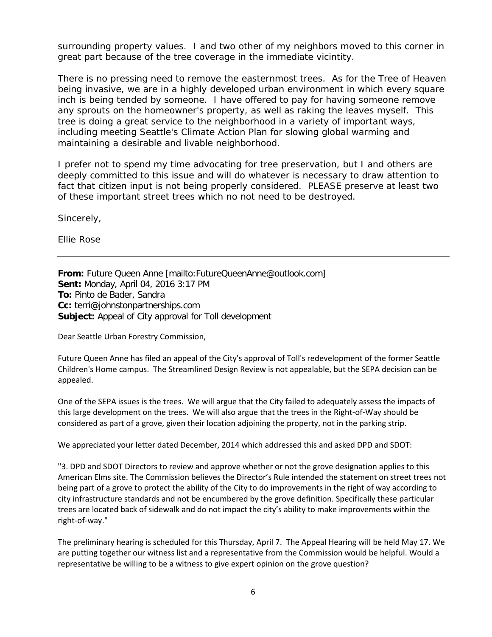surrounding property values. I and two other of my neighbors moved to this corner in great part because of the tree coverage in the immediate vicintity.

There is no pressing need to remove the easternmost trees. As for the Tree of Heaven being invasive, we are in a highly developed urban environment in which every square inch is being tended by someone. I have offered to pay for having someone remove any sprouts on the homeowner's property, as well as raking the leaves myself. This tree is doing a great service to the neighborhood in a variety of important ways, including meeting Seattle's Climate Action Plan for slowing global warming and maintaining a desirable and livable neighborhood.

I prefer not to spend my time advocating for tree preservation, but I and others are deeply committed to this issue and will do whatever is necessary to draw attention to fact that citizen input is not being properly considered. PLEASE preserve at least two of these important street trees which no not need to be destroyed.

Sincerely,

Ellie Rose

**From:** Future Queen Anne [mailto:FutureQueenAnne@outlook.com] **Sent:** Monday, April 04, 2016 3:17 PM **To:** Pinto de Bader, Sandra **Cc:** terri@johnstonpartnerships.com **Subject:** Appeal of City approval for Toll development

Dear Seattle Urban Forestry Commission,

Future Queen Anne has filed an appeal of the City's approval of Toll's redevelopment of the former Seattle Children's Home campus. The Streamlined Design Review is not appealable, but the SEPA decision can be appealed.

One of the SEPA issues is the trees. We will argue that the City failed to adequately assess the impacts of this large development on the trees. We will also argue that the trees in the Right-of-Way should be considered as part of a grove, given their location adjoining the property, not in the parking strip.

We appreciated your letter dated December, 2014 which addressed this and asked DPD and SDOT:

"3. DPD and SDOT Directors to review and approve whether or not the grove designation applies to this American Elms site. The Commission believes the Director's Rule intended the statement on street trees not being part of a grove to protect the ability of the City to do improvements in the right of way according to city infrastructure standards and not be encumbered by the grove definition. Specifically these particular trees are located back of sidewalk and do not impact the city's ability to make improvements within the right-of-way."

The preliminary hearing is scheduled for this Thursday, April 7. The Appeal Hearing will be held May 17. We are putting together our witness list and a representative from the Commission would be helpful. Would a representative be willing to be a witness to give expert opinion on the grove question?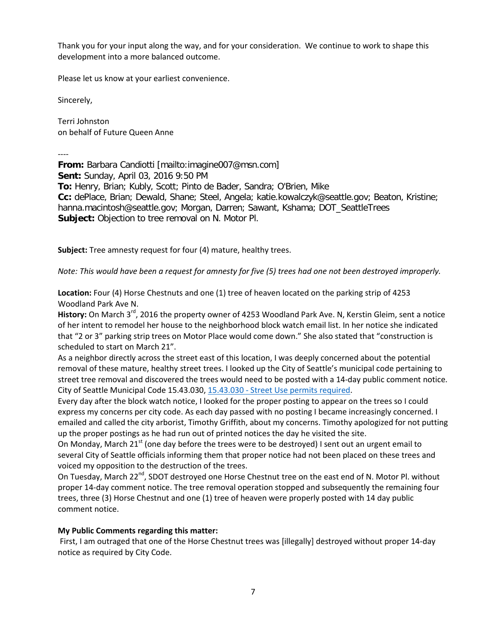Thank you for your input along the way, and for your consideration. We continue to work to shape this development into a more balanced outcome.

Please let us know at your earliest convenience.

Sincerely,

Terri Johnston on behalf of Future Queen Anne

----

**From:** Barbara Candiotti [mailto:imagine007@msn.com] **Sent:** Sunday, April 03, 2016 9:50 PM **To:** Henry, Brian; Kubly, Scott; Pinto de Bader, Sandra; O'Brien, Mike **Cc:** dePlace, Brian; Dewald, Shane; Steel, Angela; katie.kowalczyk@seattle.gov; Beaton, Kristine; hanna.macintosh@seattle.gov; Morgan, Darren; Sawant, Kshama; DOT\_SeattleTrees **Subject:** Objection to tree removal on N. Motor Pl.

**Subject:** Tree amnesty request for four (4) mature, healthy trees.

*Note: This would have been a request for amnesty for five (5) trees had one not been destroyed improperly.*

**Location:** Four (4) Horse Chestnuts and one (1) tree of heaven located on the parking strip of 4253 Woodland Park Ave N.

History: On March 3<sup>rd</sup>, 2016 the property owner of 4253 Woodland Park Ave. N, Kerstin Gleim, sent a notice of her intent to remodel her house to the neighborhood block watch email list. In her notice she indicated that "2 or 3" parking strip trees on Motor Place would come down." She also stated that "construction is scheduled to start on March 21".

As a neighbor directly across the street east of this location, I was deeply concerned about the potential removal of these mature, healthy street trees. I looked up the City of Seattle's municipal code pertaining to street tree removal and discovered the trees would need to be posted with a 14-day public comment notice. City of Seattle Municipal Code 15.43.030, 15.43.030 - [Street Use permits required.](https://www.municode.com/library/wa/seattle/codes/municipal_code?nodeId=TIT15STSIUS_SUBTITLE_ISTUSOR_CH15.43TRVEMAPUPL_15.43.010AUOF%23%21)

Every day after the block watch notice, I looked for the proper posting to appear on the trees so I could express my concerns per city code. As each day passed with no posting I became increasingly concerned. I emailed and called the city arborist, Timothy Griffith, about my concerns. Timothy apologized for not putting up the proper postings as he had run out of printed notices the day he visited the site.

On Monday, March  $21^{st}$  (one day before the trees were to be destroyed) I sent out an urgent email to several City of Seattle officials informing them that proper notice had not been placed on these trees and voiced my opposition to the destruction of the trees.

On Tuesday, March 22<sup>nd</sup>, SDOT destroyed one Horse Chestnut tree on the east end of N. Motor Pl. without proper 14-day comment notice. The tree removal operation stopped and subsequently the remaining four trees, three (3) Horse Chestnut and one (1) tree of heaven were properly posted with 14 day public comment notice.

### **My Public Comments regarding this matter:**

First, I am outraged that one of the Horse Chestnut trees was [illegally] destroyed without proper 14-day notice as required by City Code.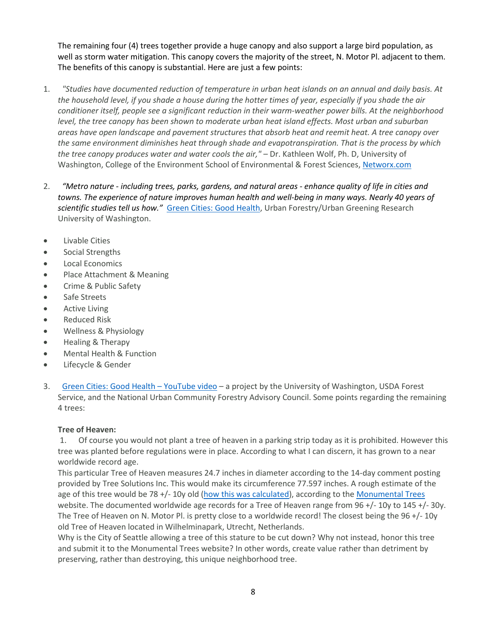The remaining four (4) trees together provide a huge canopy and also support a large bird population, as well as storm water mitigation. This canopy covers the majority of the street, N. Motor Pl. adjacent to them. The benefits of this canopy is substantial. Here are just a few points:

- 1. *"Studies have documented reduction of temperature in urban heat islands on an annual and daily basis. At the household level, if you shade a house during the hotter times of year, especially if you shade the air conditioner itself, people see a significant reduction in their warm-weather power bills. At the neighborhood level, the tree canopy has been shown to moderate urban heat island effects. Most urban and suburban areas have open landscape and pavement structures that absorb heat and reemit heat. A tree canopy over the same environment diminishes heat through shade and evapotranspiration. That is the process by which the tree canopy produces water and water cools the air,"* – Dr. Kathleen Wolf, Ph. D, University of Washington, College of the Environment School of Environmental & Forest Sciences, [Networx.com](http://www.networx.com/article/urban-forestry-and-your-home)
- 2. *"Metro nature - including trees, parks, gardens, and natural areas - enhance quality of life in cities and towns. The experience of nature improves human health and well-being in many ways. Nearly 40 years of scientific studies tell us how."* [Green Cities: Good Health,](http://depts.washington.edu/hhwb/) Urban Forestry/Urban Greening Research University of Washington.
- Livable Cities
- Social Strengths
- Local Economics
- Place Attachment & Meaning
- Crime & Public Safety
- Safe Streets
- **Active Living**
- Reduced Risk
- Wellness & Physiology
- Healing & Therapy
- Mental Health & Function
- Lifecycle & Gender
- 3. [Green Cities: Good Health –](https://www.youtube.com/watch?v=te5kIHiZuE0) YouTube video a project by the University of Washington, USDA Forest Service, and the National Urban Community Forestry Advisory Council. Some points regarding the remaining 4 trees:

### **Tree of Heaven:**

1. Of course you would not plant a tree of heaven in a parking strip today as it is prohibited. However this tree was planted before regulations were in place. According to what I can discern, it has grown to a near worldwide record age.

This particular Tree of Heaven measures 24.7 inches in diameter according to the 14-day comment posting provided by Tree Solutions Inc. This would make its circumference 77.597 inches. A rough estimate of the age of this tree would be 78 +/- 10y old [\(how this was calculated\)](http://www.opalexplorenature.org/sites/default/files/7/file/TreeAge2.pdf), according to the [Monumental Trees](http://www.monumentaltrees.com/en/trees/treeofheaven/records/)  website. The documented worldwide age records for a Tree of Heaven range from 96 +/- 10y to 145 +/- 30y. The Tree of Heaven on N. Motor Pl. is pretty close to a worldwide record! The closest being the 96 +/- 10y old Tree of Heaven located in Wilhelminapark, Utrecht, Netherlands.

Why is the City of Seattle allowing a tree of this stature to be cut down? Why not instead, honor this tree and submit it to the Monumental Trees website? In other words, create value rather than detriment by preserving, rather than destroying, this unique neighborhood tree.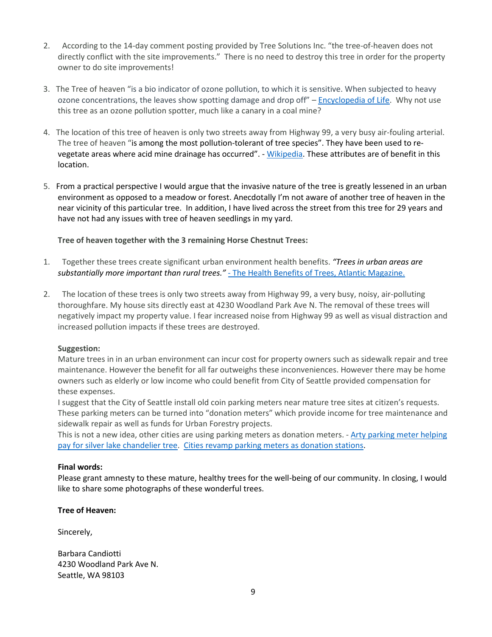- 2. According to the 14-day comment posting provided by Tree Solutions Inc. "the tree-of-heaven does not directly conflict with the site improvements." There is no need to destroy this tree in order for the property owner to do site improvements!
- 3. The Tree of heaven "is a bio indicator of ozone pollution, to which it is sensitive. When subjected to heavy ozone concentrations, the leaves show spotting damage and drop off" – [Encyclopedia of Life.](http://eol.org/pages/5614169/details%23benefits) Why not use this tree as an ozone pollution spotter, much like a canary in a coal mine?
- 4. The location of this tree of heaven is only two streets away from Highway 99, a very busy air-fouling arterial. The tree of heaven "is among the most pollution-tolerant of tree species". They have been used to re-vegetate areas where acid mine drainage has occurred". - [Wikipedia.](https://en.wikipedia.org/wiki/Ailanthus_altissima) These attributes are of benefit in this location.
- 5. From a practical perspective I would argue that the invasive nature of the tree is greatly lessened in an urban environment as opposed to a meadow or forest. Anecdotally I'm not aware of another tree of heaven in the near vicinity of this particular tree. In addition, I have lived across the street from this tree for 29 years and have not had any issues with tree of heaven seedlings in my yard.

### **Tree of heaven together with the 3 remaining Horse Chestnut Trees:**

- 1. Together these trees create significant urban environment health benefits. *"Trees in urban areas are substantially more important than rural trees."* - [The Health Benefits of Trees, Atlantic Magazine.](http://www.theatlantic.com/health/archive/2014/07/trees-good/375129/)
- 2. The location of these trees is only two streets away from Highway 99, a very busy, noisy, air-polluting thoroughfare. My house sits directly east at 4230 Woodland Park Ave N. The removal of these trees will negatively impact my property value. I fear increased noise from Highway 99 as well as visual distraction and increased pollution impacts if these trees are destroyed.

### **Suggestion:**

Mature trees in in an urban environment can incur cost for property owners such as sidewalk repair and tree maintenance. However the benefit for all far outweighs these inconveniences. However there may be home owners such as elderly or low income who could benefit from City of Seattle provided compensation for these expenses.

I suggest that the City of Seattle install old coin parking meters near mature tree sites at citizen's requests. These parking meters can be turned into "donation meters" which provide income for tree maintenance and sidewalk repair as well as funds for Urban Forestry projects.

This is not a new idea, other cities are using parking meters as donation meters. - [Arty parking meter helping](http://la.curbed.com/2012/12/18/10294092/arty-parking-meter-helping-pay-for-silver-lake-chandelier-tree)  [pay for silver lake chandelier tree.](http://la.curbed.com/2012/12/18/10294092/arty-parking-meter-helping-pay-for-silver-lake-chandelier-tree) [Cities revamp parking meters as donation stations.](http://usatoday30.usatoday.com/news/sharing/2010-09-30-parking-meter-donations_N.htm)

### **Final words:**

Please grant amnesty to these mature, healthy trees for the well-being of our community. In closing, I would like to share some photographs of these wonderful trees.

## **Tree of Heaven:**

Sincerely,

Barbara Candiotti 4230 Woodland Park Ave N. Seattle, WA 98103